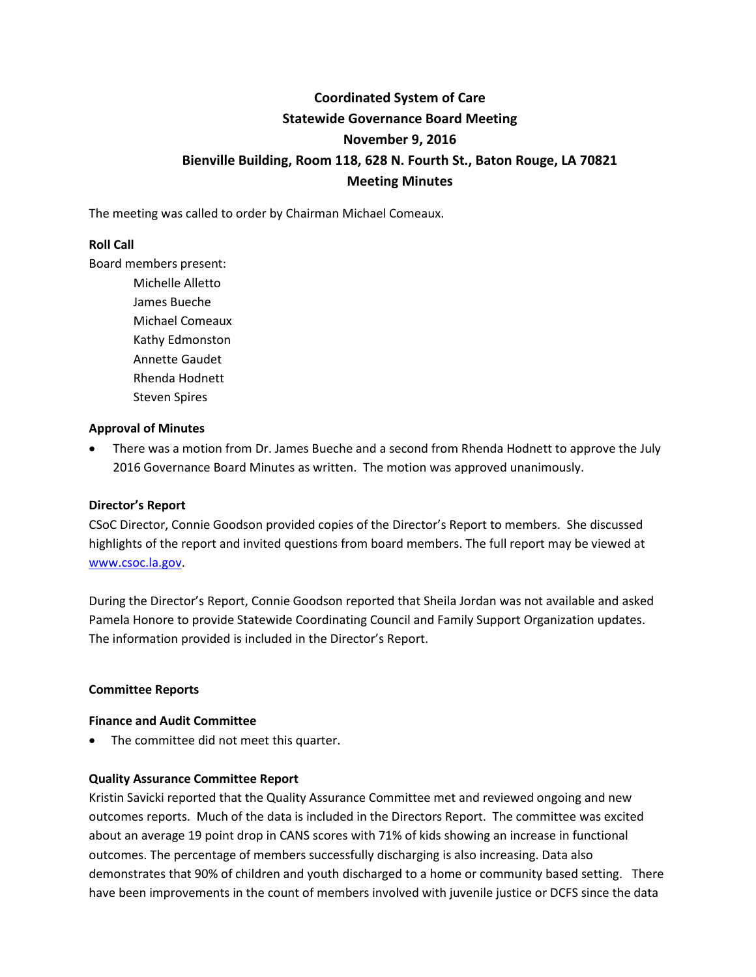# **Coordinated System of Care Statewide Governance Board Meeting November 9, 2016 Bienville Building, Room 118, 628 N. Fourth St., Baton Rouge, LA 70821 Meeting Minutes**

The meeting was called to order by Chairman Michael Comeaux.

## **Roll Call**

Board members present:

Michelle Alletto James Bueche Michael Comeaux Kathy Edmonston Annette Gaudet Rhenda Hodnett Steven Spires

### **Approval of Minutes**

 There was a motion from Dr. James Bueche and a second from Rhenda Hodnett to approve the July 2016 Governance Board Minutes as written. The motion was approved unanimously.

# **Director's Report**

CSoC Director, Connie Goodson provided copies of the Director's Report to members. She discussed highlights of the report and invited questions from board members. The full report may be viewed at [www.csoc.la.gov.](http://www.csoc.la.gov/)

During the Director's Report, Connie Goodson reported that Sheila Jordan was not available and asked Pamela Honore to provide Statewide Coordinating Council and Family Support Organization updates. The information provided is included in the Director's Report.

### **Committee Reports**

### **Finance and Audit Committee**

• The committee did not meet this quarter.

### **Quality Assurance Committee Report**

Kristin Savicki reported that the Quality Assurance Committee met and reviewed ongoing and new outcomes reports. Much of the data is included in the Directors Report. The committee was excited about an average 19 point drop in CANS scores with 71% of kids showing an increase in functional outcomes. The percentage of members successfully discharging is also increasing. Data also demonstrates that 90% of children and youth discharged to a home or community based setting. There have been improvements in the count of members involved with juvenile justice or DCFS since the data